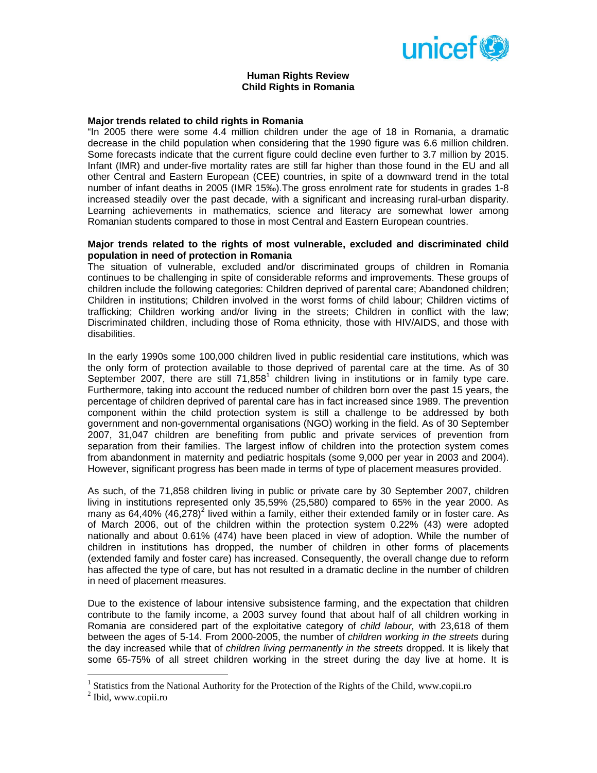

### **Human Rights Review Child Rights in Romania**

# **Major trends related to child rights in Romania**

"In 2005 there were some 4.4 million children under the age of 18 in Romania, a dramatic decrease in the child population when considering that the 1990 figure was 6.6 million children. Some forecasts indicate that the current figure could decline even further to 3.7 million by 2015. Infant (IMR) and under-five mortality rates are still far higher than those found in the EU and all other Central and Eastern European (CEE) countries, in spite of a downward trend in the total number of infant deaths in 2005 (IMR 15‰).The gross enrolment rate for students in grades 1-8 increased steadily over the past decade, with a significant and increasing rural-urban disparity. Learning achievements in mathematics, science and literacy are somewhat lower among Romanian students compared to those in most Central and Eastern European countries.

## **Major trends related to the rights of most vulnerable, excluded and discriminated child population in need of protection in Romania**

The situation of vulnerable, excluded and/or discriminated groups of children in Romania continues to be challenging in spite of considerable reforms and improvements. These groups of children include the following categories: Children deprived of parental care; Abandoned children; Children in institutions; Children involved in the worst forms of child labour; Children victims of trafficking; Children working and/or living in the streets; Children in conflict with the law; Discriminated children, including those of Roma ethnicity, those with HIV/AIDS, and those with disabilities.

In the early 1990s some 100,000 children lived in public residential care institutions, which was the only form of protection available to those deprived of parental care at the time. As of 30 September 2007, there are still  $71,858^1$  children living in institutions or in family type care. Furthermore, taking into account the reduced number of children born over the past 15 years, the percentage of children deprived of parental care has in fact increased since 1989. The prevention component within the child protection system is still a challenge to be addressed by both government and non-governmental organisations (NGO) working in the field. As of 30 September 2007, 31,047 children are benefiting from public and private services of prevention from separation from their families. The largest inflow of children into the protection system comes from abandonment in maternity and pediatric hospitals (some 9,000 per year in 2003 and 2004). However, significant progress has been made in terms of type of placement measures provided.

As such, of the 71,858 children living in public or private care by 30 September 2007, children living in institutions represented only 35,59% (25,580) compared to 65% in the year 2000. As many as 64,40% (46,278)<sup>2</sup> lived within a family, either their extended family or in foster care. As of March 2006, out of the children within the protection system 0.22% (43) were adopted nationally and about 0.61% (474) have been placed in view of adoption. While the number of children in institutions has dropped, the number of children in other forms of placements (extended family and foster care) has increased. Consequently, the overall change due to reform has affected the type of care, but has not resulted in a dramatic decline in the number of children in need of placement measures.

Due to the existence of labour intensive subsistence farming, and the expectation that children contribute to the family income, a 2003 survey found that about half of all children working in Romania are considered part of the exploitative category of *child labour,* with 23,618 of them between the ages of 5-14. From 2000-2005, the number of *children working in the streets* during the day increased while that of *children living permanently in the streets* dropped. It is likely that some 65-75% of all street children working in the street during the day live at home. It is

 1 Statistics from the National Authority for the Protection of the Rights of the Child, www.copii.ro

<sup>&</sup>lt;sup>2</sup> Ibid, www.copii.ro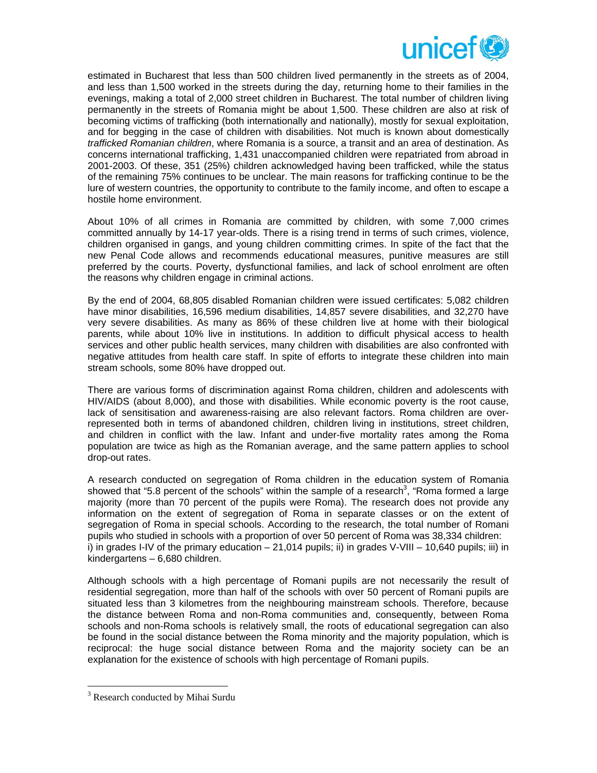

estimated in Bucharest that less than 500 children lived permanently in the streets as of 2004, and less than 1,500 worked in the streets during the day, returning home to their families in the evenings, making a total of 2,000 street children in Bucharest. The total number of children living permanently in the streets of Romania might be about 1,500. These children are also at risk of becoming victims of trafficking (both internationally and nationally), mostly for sexual exploitation, and for begging in the case of children with disabilities. Not much is known about domestically *trafficked Romanian children*, where Romania is a source, a transit and an area of destination. As concerns international trafficking, 1,431 unaccompanied children were repatriated from abroad in 2001-2003. Of these, 351 (25%) children acknowledged having been trafficked, while the status of the remaining 75% continues to be unclear. The main reasons for trafficking continue to be the lure of western countries, the opportunity to contribute to the family income, and often to escape a hostile home environment.

About 10% of all crimes in Romania are committed by children, with some 7,000 crimes committed annually by 14-17 year-olds. There is a rising trend in terms of such crimes, violence, children organised in gangs, and young children committing crimes. In spite of the fact that the new Penal Code allows and recommends educational measures, punitive measures are still preferred by the courts. Poverty, dysfunctional families, and lack of school enrolment are often the reasons why children engage in criminal actions.

By the end of 2004, 68,805 disabled Romanian children were issued certificates: 5,082 children have minor disabilities, 16,596 medium disabilities, 14,857 severe disabilities, and 32,270 have very severe disabilities. As many as 86% of these children live at home with their biological parents, while about 10% live in institutions. In addition to difficult physical access to health services and other public health services, many children with disabilities are also confronted with negative attitudes from health care staff. In spite of efforts to integrate these children into main stream schools, some 80% have dropped out.

There are various forms of discrimination against Roma children, children and adolescents with HIV/AIDS (about 8,000), and those with disabilities. While economic poverty is the root cause, lack of sensitisation and awareness-raising are also relevant factors. Roma children are overrepresented both in terms of abandoned children, children living in institutions, street children, and children in conflict with the law. Infant and under-five mortality rates among the Roma population are twice as high as the Romanian average, and the same pattern applies to school drop-out rates.

A research conducted on segregation of Roma children in the education system of Romania showed that "5.8 percent of the schools" within the sample of a research<sup>3</sup>, "Roma formed a large majority (more than 70 percent of the pupils were Roma). The research does not provide any information on the extent of segregation of Roma in separate classes or on the extent of segregation of Roma in special schools. According to the research, the total number of Romani pupils who studied in schools with a proportion of over 50 percent of Roma was 38,334 children: i) in grades I-IV of the primary education – 21,014 pupils; ii) in grades V-VIII – 10,640 pupils; iii) in kindergartens – 6,680 children.

Although schools with a high percentage of Romani pupils are not necessarily the result of residential segregation, more than half of the schools with over 50 percent of Romani pupils are situated less than 3 kilometres from the neighbouring mainstream schools. Therefore, because the distance between Roma and non-Roma communities and, consequently, between Roma schools and non-Roma schools is relatively small, the roots of educational segregation can also be found in the social distance between the Roma minority and the majority population, which is reciprocal: the huge social distance between Roma and the majority society can be an explanation for the existence of schools with high percentage of Romani pupils.

 $\overline{a}$ 

<sup>&</sup>lt;sup>3</sup> Research conducted by Mihai Surdu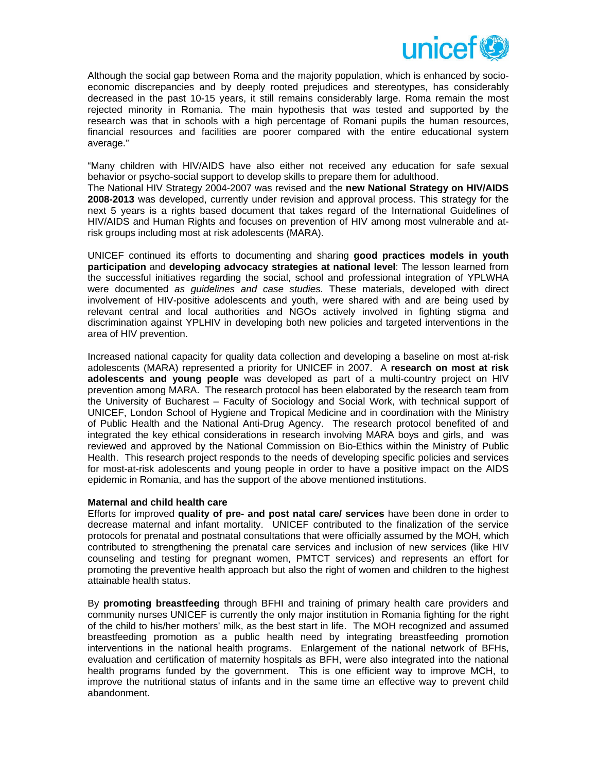

Although the social gap between Roma and the majority population, which is enhanced by socioeconomic discrepancies and by deeply rooted prejudices and stereotypes, has considerably decreased in the past 10-15 years, it still remains considerably large. Roma remain the most rejected minority in Romania. The main hypothesis that was tested and supported by the research was that in schools with a high percentage of Romani pupils the human resources, financial resources and facilities are poorer compared with the entire educational system average."

"Many children with HIV/AIDS have also either not received any education for safe sexual behavior or psycho-social support to develop skills to prepare them for adulthood.

The National HIV Strategy 2004-2007 was revised and the **new National Strategy on HIV/AIDS 2008-2013** was developed, currently under revision and approval process. This strategy for the next 5 years is a rights based document that takes regard of the International Guidelines of HIV/AIDS and Human Rights and focuses on prevention of HIV among most vulnerable and atrisk groups including most at risk adolescents (MARA).

UNICEF continued its efforts to documenting and sharing **good practices models in youth participation** and **developing advocacy strategies at national level**: The lesson learned from the successful initiatives regarding the social, school and professional integration of YPLWHA were documented *as guidelines and case studies*. These materials, developed with direct involvement of HIV-positive adolescents and youth, were shared with and are being used by relevant central and local authorities and NGOs actively involved in fighting stigma and discrimination against YPLHIV in developing both new policies and targeted interventions in the area of HIV prevention.

Increased national capacity for quality data collection and developing a baseline on most at-risk adolescents (MARA) represented a priority for UNICEF in 2007. A **research on most at risk adolescents and young people** was developed as part of a multi-country project on HIV prevention among MARA. The research protocol has been elaborated by the research team from the University of Bucharest – Faculty of Sociology and Social Work, with technical support of UNICEF, London School of Hygiene and Tropical Medicine and in coordination with the Ministry of Public Health and the National Anti-Drug Agency. The research protocol benefited of and integrated the key ethical considerations in research involving MARA boys and girls, and was reviewed and approved by the National Commission on Bio-Ethics within the Ministry of Public Health. This research project responds to the needs of developing specific policies and services for most-at-risk adolescents and young people in order to have a positive impact on the AIDS epidemic in Romania, and has the support of the above mentioned institutions.

#### **Maternal and child health care**

Efforts for improved **quality of pre- and post natal care/ services** have been done in order to decrease maternal and infant mortality. UNICEF contributed to the finalization of the service protocols for prenatal and postnatal consultations that were officially assumed by the MOH, which contributed to strengthening the prenatal care services and inclusion of new services (like HIV counseling and testing for pregnant women, PMTCT services) and represents an effort for promoting the preventive health approach but also the right of women and children to the highest attainable health status.

By **promoting breastfeeding** through BFHI and training of primary health care providers and community nurses UNICEF is currently the only major institution in Romania fighting for the right of the child to his/her mothers' milk, as the best start in life. The MOH recognized and assumed breastfeeding promotion as a public health need by integrating breastfeeding promotion interventions in the national health programs. Enlargement of the national network of BFHs, evaluation and certification of maternity hospitals as BFH, were also integrated into the national health programs funded by the government. This is one efficient way to improve MCH, to improve the nutritional status of infants and in the same time an effective way to prevent child abandonment.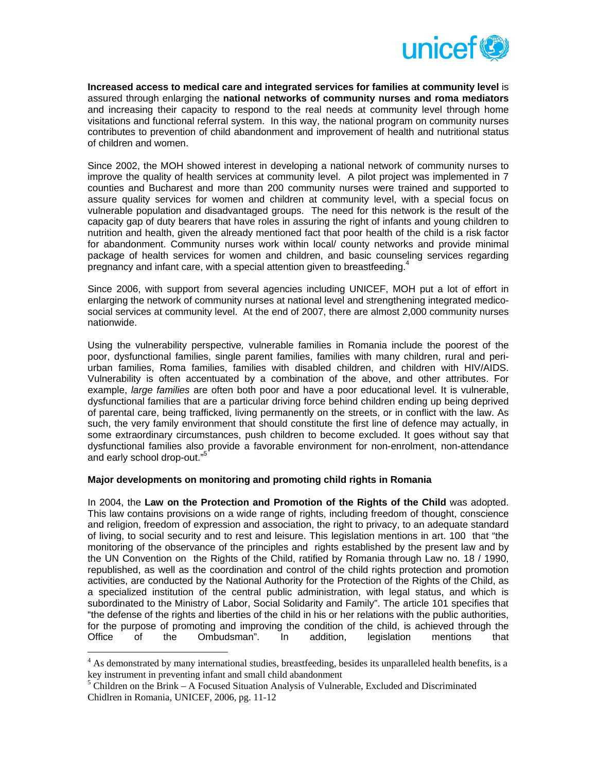

**Increased access to medical care and integrated services for families at community level** is assured through enlarging the **national networks of community nurses and roma mediators** and increasing their capacity to respond to the real needs at community level through home visitations and functional referral system. In this way, the national program on community nurses contributes to prevention of child abandonment and improvement of health and nutritional status of children and women.

Since 2002, the MOH showed interest in developing a national network of community nurses to improve the quality of health services at community level. A pilot project was implemented in 7 counties and Bucharest and more than 200 community nurses were trained and supported to assure quality services for women and children at community level, with a special focus on vulnerable population and disadvantaged groups. The need for this network is the result of the capacity gap of duty bearers that have roles in assuring the right of infants and young children to nutrition and health, given the already mentioned fact that poor health of the child is a risk factor for abandonment. Community nurses work within local/ county networks and provide minimal package of health services for women and children, and basic counseling services regarding pregnancy and infant care, with a special attention given to breastfeeding. $4$ 

Since 2006, with support from several agencies including UNICEF, MOH put a lot of effort in enlarging the network of community nurses at national level and strengthening integrated medicosocial services at community level. At the end of 2007, there are almost 2,000 community nurses nationwide.

Using the vulnerability perspective*,* vulnerable families in Romania include the poorest of the poor, dysfunctional families, single parent families, families with many children, rural and periurban families, Roma families, families with disabled children, and children with HIV/AIDS. Vulnerability is often accentuated by a combination of the above, and other attributes. For example, *large families* are often both poor and have a poor educational level. It is vulnerable, dysfunctional families that are a particular driving force behind children ending up being deprived of parental care, being trafficked, living permanently on the streets, or in conflict with the law. As such, the very family environment that should constitute the first line of defence may actually, in some extraordinary circumstances, push children to become excluded. It goes without say that dysfunctional families also provide a favorable environment for non-enrolment, non-attendance and early school drop-out."<sup>5</sup>

# **Major developments on monitoring and promoting child rights in Romania**

In 2004, the **Law on the Protection and Promotion of the Rights of the Child** was adopted. This law contains provisions on a wide range of rights, including freedom of thought, conscience and religion, freedom of expression and association, the right to privacy, to an adequate standard of living, to social security and to rest and leisure. This legislation mentions in art. 100 that "the monitoring of the observance of the principles and rights established by the present law and by the UN Convention on the Rights of the Child, ratified by Romania through Law no. 18 / 1990, republished, as well as the coordination and control of the child rights protection and promotion activities, are conducted by the National Authority for the Protection of the Rights of the Child, as a specialized institution of the central public administration, with legal status, and which is subordinated to the Ministry of Labor, Social Solidarity and Family". The article 101 specifies that "the defense of the rights and liberties of the child in his or her relations with the public authorities, for the purpose of promoting and improving the condition of the child, is achieved through the Office of the Ombudsman". In addition, legislation mentions that

 $\overline{a}$ 

<sup>&</sup>lt;sup>4</sup> As demonstrated by many international studies, breastfeeding, besides its unparalleled health benefits, is a key instrument in preventing infant and small child abandonment

 $5$  Children on the Brink – A Focused Situation Analysis of Vulnerable, Excluded and Discriminated Chidlren in Romania, UNICEF, 2006, pg. 11-12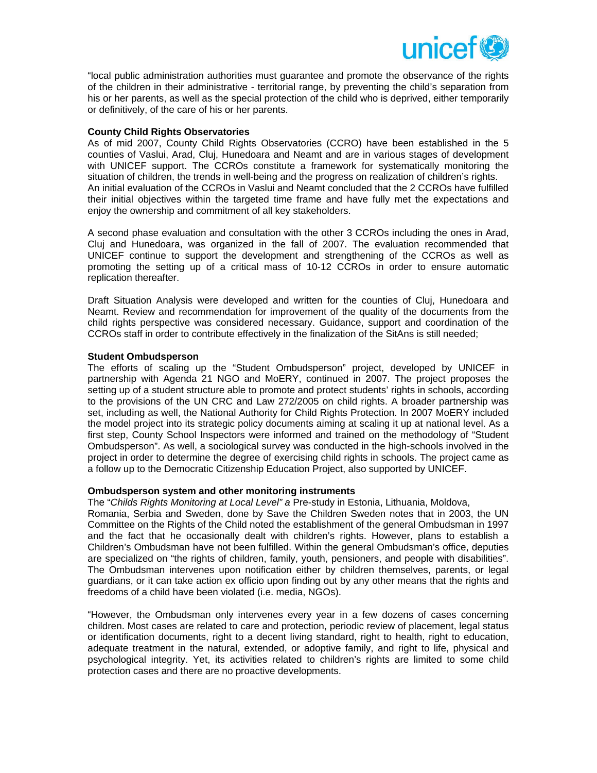

"local public administration authorities must guarantee and promote the observance of the rights of the children in their administrative - territorial range, by preventing the child's separation from his or her parents, as well as the special protection of the child who is deprived, either temporarily or definitively, of the care of his or her parents.

## **County Child Rights Observatories**

As of mid 2007, County Child Rights Observatories (CCRO) have been established in the 5 counties of Vaslui, Arad, Cluj, Hunedoara and Neamt and are in various stages of development with UNICEF support. The CCROs constitute a framework for systematically monitoring the situation of children, the trends in well-being and the progress on realization of children's rights. An initial evaluation of the CCROs in Vaslui and Neamt concluded that the 2 CCROs have fulfilled their initial objectives within the targeted time frame and have fully met the expectations and enjoy the ownership and commitment of all key stakeholders.

A second phase evaluation and consultation with the other 3 CCROs including the ones in Arad, Cluj and Hunedoara, was organized in the fall of 2007. The evaluation recommended that UNICEF continue to support the development and strengthening of the CCROs as well as promoting the setting up of a critical mass of 10-12 CCROs in order to ensure automatic replication thereafter.

Draft Situation Analysis were developed and written for the counties of Cluj, Hunedoara and Neamt. Review and recommendation for improvement of the quality of the documents from the child rights perspective was considered necessary. Guidance, support and coordination of the CCROs staff in order to contribute effectively in the finalization of the SitAns is still needed;

### **Student Ombudsperson**

The efforts of scaling up the "Student Ombudsperson" project, developed by UNICEF in partnership with Agenda 21 NGO and MoERY, continued in 2007. The project proposes the setting up of a student structure able to promote and protect students' rights in schools, according to the provisions of the UN CRC and Law 272/2005 on child rights. A broader partnership was set, including as well, the National Authority for Child Rights Protection. In 2007 MoERY included the model project into its strategic policy documents aiming at scaling it up at national level. As a first step, County School Inspectors were informed and trained on the methodology of "Student Ombudsperson". As well, a sociological survey was conducted in the high-schools involved in the project in order to determine the degree of exercising child rights in schools. The project came as a follow up to the Democratic Citizenship Education Project, also supported by UNICEF.

#### **Ombudsperson system and other monitoring instruments**

The "*Childs Rights Monitoring at Local Level" a* Pre-study in Estonia, Lithuania, Moldova,

Romania, Serbia and Sweden, done by Save the Children Sweden notes that in 2003, the UN Committee on the Rights of the Child noted the establishment of the general Ombudsman in 1997 and the fact that he occasionally dealt with children's rights. However, plans to establish a Children's Ombudsman have not been fulfilled. Within the general Ombudsman's office, deputies are specialized on "the rights of children, family, youth, pensioners, and people with disabilities". The Ombudsman intervenes upon notification either by children themselves, parents, or legal guardians, or it can take action ex officio upon finding out by any other means that the rights and freedoms of a child have been violated (i.e. media, NGOs).

"However, the Ombudsman only intervenes every year in a few dozens of cases concerning children. Most cases are related to care and protection, periodic review of placement, legal status or identification documents, right to a decent living standard, right to health, right to education, adequate treatment in the natural, extended, or adoptive family, and right to life, physical and psychological integrity. Yet, its activities related to children's rights are limited to some child protection cases and there are no proactive developments.